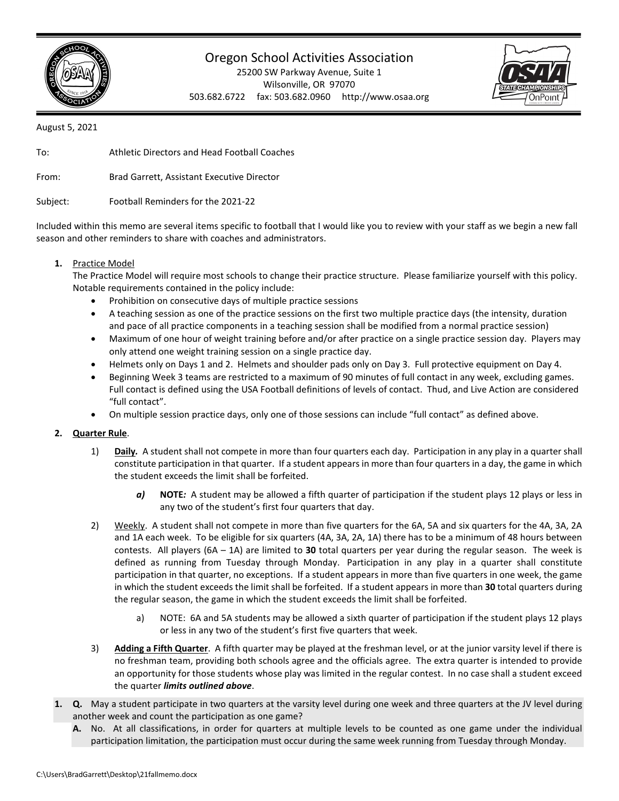

## Oregon School Activities Association

25200 SW Parkway Avenue, Suite 1 Wilsonville, OR 97070 503.682.6722 fax: 503.682.0960 http://www.osaa.org



August 5, 2021

To: Athletic Directors and Head Football Coaches From: Brad Garrett, Assistant Executive Director Subject: Football Reminders for the 2021-22

Included within this memo are several items specific to football that I would like you to review with your staff as we begin a new fall season and other reminders to share with coaches and administrators.

## **1.** Practice Model

The Practice Model will require most schools to change their practice structure. Please familiarize yourself with this policy. Notable requirements contained in the policy include:

- Prohibition on consecutive days of multiple practice sessions
- A teaching session as one of the practice sessions on the first two multiple practice days (the intensity, duration and pace of all practice components in a teaching session shall be modified from a normal practice session)
- Maximum of one hour of weight training before and/or after practice on a single practice session day. Players may only attend one weight training session on a single practice day.
- Helmets only on Days 1 and 2. Helmets and shoulder pads only on Day 3. Full protective equipment on Day 4.
- Beginning Week 3 teams are restricted to a maximum of 90 minutes of full contact in any week, excluding games. Full contact is defined using the USA Football definitions of levels of contact. Thud, and Live Action are considered "full contact".
- On multiple session practice days, only one of those sessions can include "full contact" as defined above.

## **2. Quarter Rule**.

- 1) **Daily***.* A student shall not compete in more than four quarters each day. Participation in any play in a quarter shall constitute participation in that quarter. If a student appears in more than four quarters in a day, the game in which the student exceeds the limit shall be forfeited.
	- *a)* **NOTE***:* A student may be allowed a fifth quarter of participation if the student plays 12 plays or less in any two of the student's first four quarters that day.
- 2) Weekly. A student shall not compete in more than five quarters for the 6A, 5A and six quarters for the 4A, 3A, 2A and 1A each week. To be eligible for six quarters (4A, 3A, 2A, 1A) there has to be a minimum of 48 hours between contests. All players (6A – 1A) are limited to **30** total quarters per year during the regular season. The week is defined as running from Tuesday through Monday. Participation in any play in a quarter shall constitute participation in that quarter, no exceptions. If a student appears in more than five quarters in one week, the game in which the student exceeds the limit shall be forfeited. If a student appears in more than **30** total quarters during the regular season, the game in which the student exceeds the limit shall be forfeited.
	- a) NOTE: 6A and 5A students may be allowed a sixth quarter of participation if the student plays 12 plays or less in any two of the student's first five quarters that week.
- 3) **Adding a Fifth Quarter**. A fifth quarter may be played at the freshman level, or at the junior varsity level if there is no freshman team, providing both schools agree and the officials agree. The extra quarter is intended to provide an opportunity for those students whose play was limited in the regular contest. In no case shall a student exceed the quarter *limits outlined above*.
- **1. Q.** May a student participate in two quarters at the varsity level during one week and three quarters at the JV level during another week and count the participation as one game?
	- **A.** No. At all classifications, in order for quarters at multiple levels to be counted as one game under the individual participation limitation, the participation must occur during the same week running from Tuesday through Monday.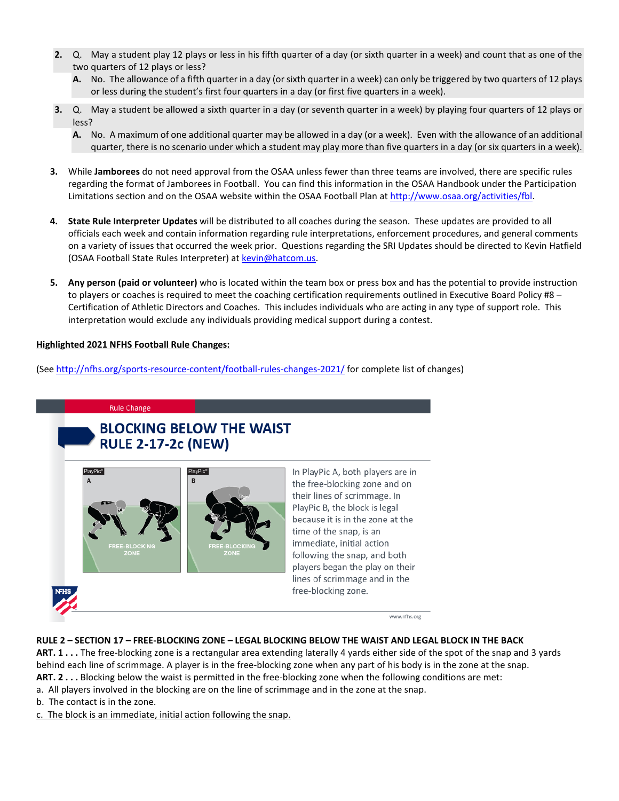- **2.** Q. May a student play 12 plays or less in his fifth quarter of a day (or sixth quarter in a week) and count that as one of the two quarters of 12 plays or less?
	- **A.** No. The allowance of a fifth quarter in a day (or sixth quarter in a week) can only be triggered by two quarters of 12 plays or less during the student's first four quarters in a day (or first five quarters in a week).
- **3.** Q. May a student be allowed a sixth quarter in a day (or seventh quarter in a week) by playing four quarters of 12 plays or less?
	- **A.** No. A maximum of one additional quarter may be allowed in a day (or a week). Even with the allowance of an additional quarter, there is no scenario under which a student may play more than five quarters in a day (or six quarters in a week).
- **3.** While **Jamborees** do not need approval from the OSAA unless fewer than three teams are involved, there are specific rules regarding the format of Jamborees in Football. You can find this information in the OSAA Handbook under the Participation Limitations section and on the OSAA website within the OSAA Football Plan at [http://www.osaa.org/activities/fbl.](http://www.osaa.org/activities/fbl)
- **4. State Rule Interpreter Updates** will be distributed to all coaches during the season. These updates are provided to all officials each week and contain information regarding rule interpretations, enforcement procedures, and general comments on a variety of issues that occurred the week prior. Questions regarding the SRI Updates should be directed to Kevin Hatfield (OSAA Football State Rules Interpreter) at [kevin@hatcom.us.](mailto:kevin@hatcom.us)
- **5. Any person (paid or volunteer)** who is located within the team box or press box and has the potential to provide instruction to players or coaches is required to meet the coaching certification requirements outlined in Executive Board Policy #8 – Certification of Athletic Directors and Coaches. This includes individuals who are acting in any type of support role. This interpretation would exclude any individuals providing medical support during a contest.

## **Highlighted 2021 NFHS Football Rule Changes:**

(See<http://nfhs.org/sports-resource-content/football-rules-changes-2021/> for complete list of changes)

#### **Rule Change**

## **BLOCKING BELOW THE WAIST RULE 2-17-2c (NEW)**



In PlayPic A, both players are in the free-blocking zone and on their lines of scrimmage. In PlayPic B, the block is legal because it is in the zone at the time of the snap, is an immediate, initial action following the snap, and both players began the play on their lines of scrimmage and in the free-blocking zone.



www.nfhs.org

## **RULE 2 – SECTION 17 – FREE-BLOCKING ZONE – LEGAL BLOCKING BELOW THE WAIST AND LEGAL BLOCK IN THE BACK**

**ART. 1 . . .** The free-blocking zone is a rectangular area extending laterally 4 yards either side of the spot of the snap and 3 yards behind each line of scrimmage. A player is in the free-blocking zone when any part of his body is in the zone at the snap.

- **ART. 2 . . .** Blocking below the waist is permitted in the free-blocking zone when the following conditions are met:
- a. All players involved in the blocking are on the line of scrimmage and in the zone at the snap.
- b. The contact is in the zone.

c. The block is an immediate, initial action following the snap.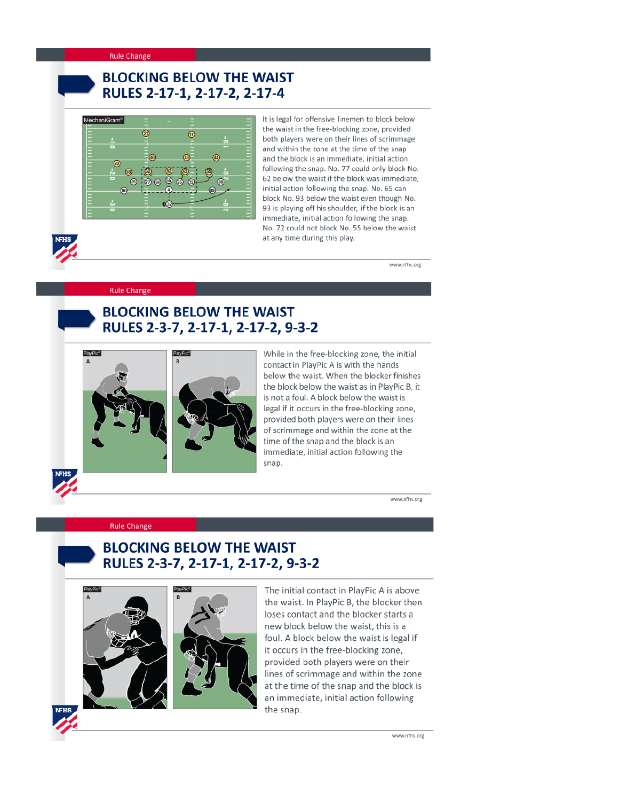#### **Rule Change**

# **BLOCKING BELOW THE WAIST** RULES 2-17-1, 2-17-2, 2-17-4



It is legal for offensive linemen to block below the waist in the free-blocking zone, provided both players were on their lines of scrimmage and within the zone at the time of the snap and the block is an immediate, initial action following the snap. No. 77 could only block No. 62 below the waist if the block was immediate, initial action following the snap. No. 65 can block No. 93 below the waist even though No. 93 is playing off his shoulder, if the block is an immediate, initial action following the snap. No. 72 could not block No. 55 below the waist at any time during this play.

www.nfhs.org

#### **Rule Change**

PlayPic®



While in the free-blocking zone, the initial contact in PlayPic A is with the hands below the waist. When the blocker finishes the block below the waist as in PlayPic B, it is not a foul. A block below the waist is legal if it occurs in the free-blocking zone, provided both players were on their lines of scrimmage and within the zone at the time of the snap and the block is an immediate, initial action following the snap.

www.nfhs.org

#### **Rule Change**



## **BLOCKING BELOW THE WAIST** RULES 2-3-7, 2-17-1, 2-17-2, 9-3-2





The initial contact in PlayPic A is above the waist. In PlayPic B, the blocker then loses contact and the blocker starts a new block below the waist, this is a foul. A block below the waist is legal if it occurs in the free-blocking zone, provided both players were on their lines of scrimmage and within the zone at the time of the snap and the block is an immediate, initial action following the snap.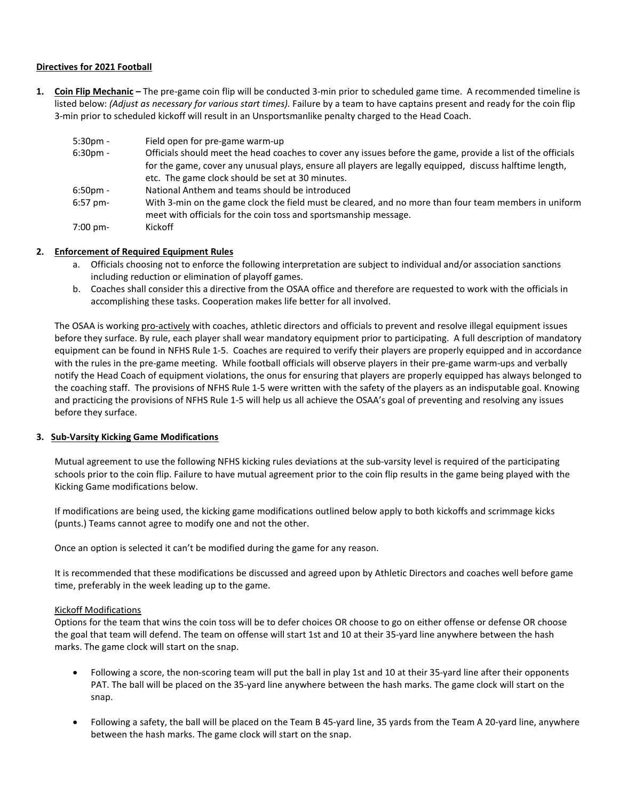## **Directives for 2021 Football**

**1. Coin Flip Mechanic –** The pre-game coin flip will be conducted 3-min prior to scheduled game time. A recommended timeline is listed below: *(Adjust as necessary for various start times)*. Failure by a team to have captains present and ready for the coin flip 3-min prior to scheduled kickoff will result in an Unsportsmanlike penalty charged to the Head Coach.

| $5:30pm -$  | Field open for pre-game warm-up                                                                                                                                           |
|-------------|---------------------------------------------------------------------------------------------------------------------------------------------------------------------------|
| $6:30pm -$  | Officials should meet the head coaches to cover any issues before the game, provide a list of the officials                                                               |
|             | for the game, cover any unusual plays, ensure all players are legally equipped, discuss halftime length,                                                                  |
|             | etc. The game clock should be set at 30 minutes.                                                                                                                          |
| $6:50$ pm - | National Anthem and teams should be introduced                                                                                                                            |
| $6:57$ pm-  | With 3-min on the game clock the field must be cleared, and no more than four team members in uniform<br>meet with officials for the coin toss and sportsmanship message. |
| 7:00 pm-    | Kickoff                                                                                                                                                                   |

## **2. Enforcement of Required Equipment Rules**

- a. Officials choosing not to enforce the following interpretation are subject to individual and/or association sanctions including reduction or elimination of playoff games.
- b. Coaches shall consider this a directive from the OSAA office and therefore are requested to work with the officials in accomplishing these tasks. Cooperation makes life better for all involved.

The OSAA is working pro-actively with coaches, athletic directors and officials to prevent and resolve illegal equipment issues before they surface. By rule, each player shall wear mandatory equipment prior to participating. A full description of mandatory equipment can be found in NFHS Rule 1-5. Coaches are required to verify their players are properly equipped and in accordance with the rules in the pre-game meeting. While football officials will observe players in their pre-game warm-ups and verbally notify the Head Coach of equipment violations, the onus for ensuring that players are properly equipped has always belonged to the coaching staff. The provisions of NFHS Rule 1-5 were written with the safety of the players as an indisputable goal. Knowing and practicing the provisions of NFHS Rule 1-5 will help us all achieve the OSAA's goal of preventing and resolving any issues before they surface.

#### **3. Sub-Varsity Kicking Game Modifications**

Mutual agreement to use the following NFHS kicking rules deviations at the sub-varsity level is required of the participating schools prior to the coin flip. Failure to have mutual agreement prior to the coin flip results in the game being played with the Kicking Game modifications below.

If modifications are being used, the kicking game modifications outlined below apply to both kickoffs and scrimmage kicks (punts.) Teams cannot agree to modify one and not the other.

Once an option is selected it can't be modified during the game for any reason.

It is recommended that these modifications be discussed and agreed upon by Athletic Directors and coaches well before game time, preferably in the week leading up to the game.

#### Kickoff Modifications

Options for the team that wins the coin toss will be to defer choices OR choose to go on either offense or defense OR choose the goal that team will defend. The team on offense will start 1st and 10 at their 35-yard line anywhere between the hash marks. The game clock will start on the snap.

- Following a score, the non-scoring team will put the ball in play 1st and 10 at their 35-yard line after their opponents PAT. The ball will be placed on the 35-yard line anywhere between the hash marks. The game clock will start on the snap.
- Following a safety, the ball will be placed on the Team B 45-yard line, 35 yards from the Team A 20-yard line, anywhere between the hash marks. The game clock will start on the snap.